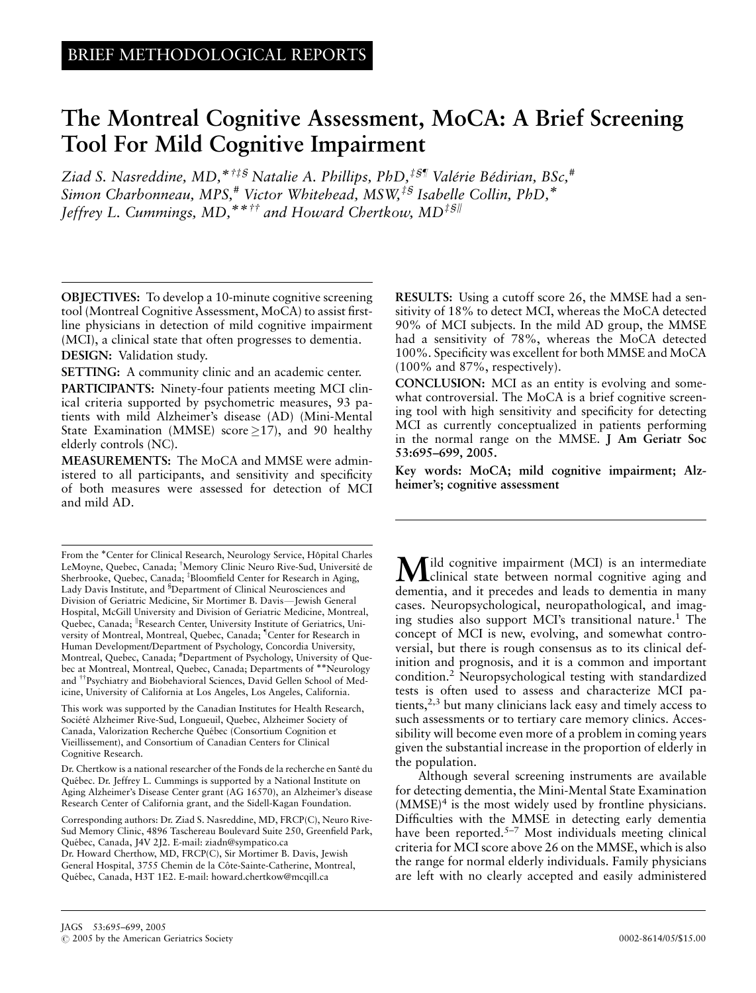# The Montreal Cognitive Assessment, MoCA: A Brief Screening Tool For Mild Cognitive Impairment

Ziad S. Nasreddine, MD,\*<sup>†‡§</sup> Natalie A. Phillips, PhD,<sup>‡§¶</sup> Valérie Bédirian, BSc,<sup>#</sup> Simon Charbonneau, MPS,<sup>#</sup> Victor Whitehead, MSW,<sup> $\ddag$ S Isabelle Collin, PhD,\*</sup> Jeffrey L. Cummings, MD,<sup>\*\*††</sup> and Howard Chertkow, MD<sup>‡S||</sup>

OBJECTIVES: To develop a 10-minute cognitive screening tool (Montreal Cognitive Assessment, MoCA) to assist firstline physicians in detection of mild cognitive impairment (MCI), a clinical state that often progresses to dementia. DESIGN: Validation study.

SETTING: A community clinic and an academic center.

PARTICIPANTS: Ninety-four patients meeting MCI clinical criteria supported by psychometric measures, 93 patients with mild Alzheimer's disease (AD) (Mini-Mental State Examination (MMSE) score  $\geq$ 17), and 90 healthy elderly controls (NC).

MEASUREMENTS: The MoCA and MMSE were administered to all participants, and sensitivity and specificity of both measures were assessed for detection of MCI and mild AD.

From the \*Center for Clinical Research, Neurology Service, Hôpital Charles LeMoyne, Quebec, Canada; <sup>†</sup>Memory Clinic Neuro Rive-Sud, Université de Sherbrooke, Quebec, Canada; <sup>‡</sup>Bloomfield Center for Research in Aging, Lady Davis Institute, and <sup>§</sup>Department of Clinical Neurosciences and Division of Geriatric Medicine, Sir Mortimer B. Davis-Jewish General Hospital, McGill University and Division of Geriatric Medicine, Montreal, Quebec, Canada; <sup>|</sup>Research Center, University Institute of Geriatrics, University of Montreal, Montreal, Quebec, Canada; "Center for Research in Human Development/Department of Psychology, Concordia University, Montreal, Quebec, Canada; # Department of Psychology, University of Quebec at Montreal, Montreal, Quebec, Canada; Departments of \*\*Neurology and <sup>††</sup>Psychiatry and Biobehavioral Sciences, David Gellen School of Medicine, University of California at Los Angeles, Los Angeles, California.

This work was supported by the Canadian Institutes for Health Research, Société Alzheimer Rive-Sud, Longueuil, Quebec, Alzheimer Society of Canada, Valorization Recherche Québec (Consortium Cognition et Vieillissement), and Consortium of Canadian Centers for Clinical Cognitive Research.

Dr. Chertkow is a national researcher of the Fonds de la recherche en Santé du Québec. Dr. Jeffrey L. Cummings is supported by a National Institute on Aging Alzheimer's Disease Center grant (AG 16570), an Alzheimer's disease Research Center of California grant, and the Sidell-Kagan Foundation.

Corresponding authors: Dr. Ziad S. Nasreddine, MD, FRCP(C), Neuro Rive-Sud Memory Clinic, 4896 Taschereau Boulevard Suite 250, Greenfield Park, Québec, Canada, J4V 2J2. E-mail: ziadn@sympatico.ca Dr. Howard Cherthow, MD, FRCP(C), Sir Mortimer B. Davis, Jewish General Hospital, 3755 Chemin de la Côte-Sainte-Catherine, Montreal, Québec, Canada, H3T 1E2. E-mail: howard.chertkow@mcqill.ca

RESULTS: Using a cutoff score 26, the MMSE had a sensitivity of 18% to detect MCI, whereas the MoCA detected 90% of MCI subjects. In the mild AD group, the MMSE had a sensitivity of 78%, whereas the MoCA detected 100%. Specificity was excellent for both MMSE and MoCA (100% and 87%, respectively).

CONCLUSION: MCI as an entity is evolving and somewhat controversial. The MoCA is a brief cognitive screening tool with high sensitivity and specificity for detecting MCI as currently conceptualized in patients performing in the normal range on the MMSE. J Am Geriatr Soc 53:695–699, 2005.

Key words: MoCA; mild cognitive impairment; Alzheimer's; cognitive assessment

Mild cognitive impairment (MCI) is an intermediate<br>clinical state between normal cognitive aging and dementia, and it precedes and leads to dementia in many cases. Neuropsychological, neuropathological, and imaging studies also support MCI's transitional nature.<sup>1</sup> The concept of MCI is new, evolving, and somewhat controversial, but there is rough consensus as to its clinical definition and prognosis, and it is a common and important condition.<sup>2</sup> Neuropsychological testing with standardized tests is often used to assess and characterize MCI patients, $2,3$  but many clinicians lack easy and timely access to such assessments or to tertiary care memory clinics. Accessibility will become even more of a problem in coming years given the substantial increase in the proportion of elderly in the population.

Although several screening instruments are available for detecting dementia, the Mini-Mental State Examination  $(MMSE)^4$  is the most widely used by frontline physicians. Difficulties with the MMSE in detecting early dementia have been reported.<sup>5-7</sup> Most individuals meeting clinical criteria for MCI score above 26 on the MMSE, which is also the range for normal elderly individuals. Family physicians are left with no clearly accepted and easily administered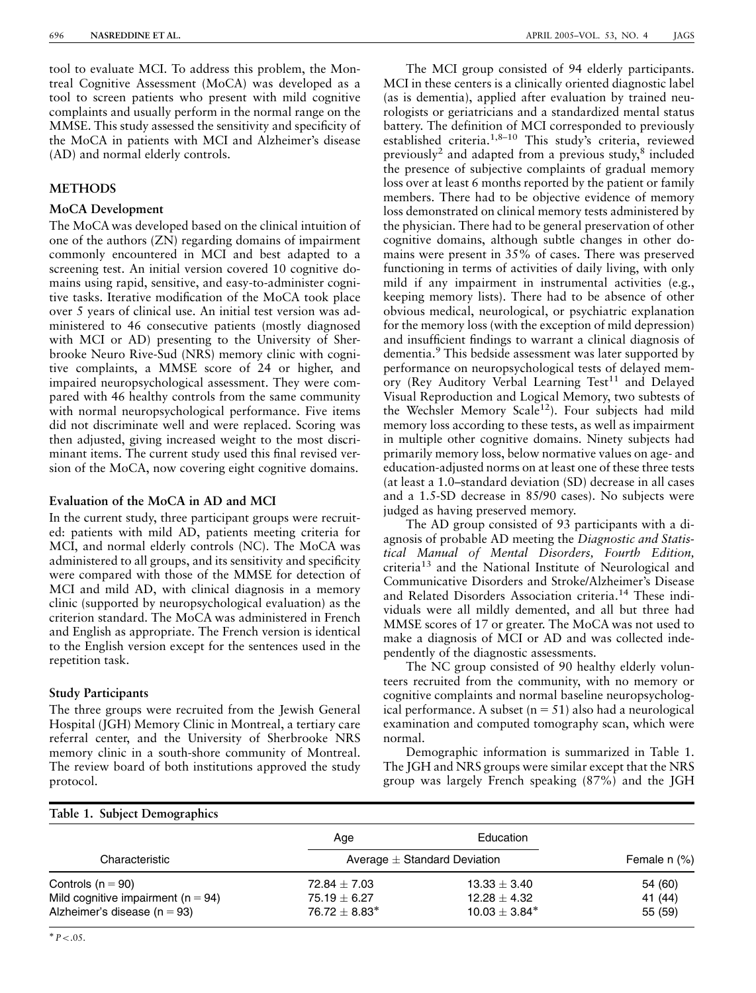tool to evaluate MCI. To address this problem, the Montreal Cognitive Assessment (MoCA) was developed as a tool to screen patients who present with mild cognitive complaints and usually perform in the normal range on the MMSE. This study assessed the sensitivity and specificity of the MoCA in patients with MCI and Alzheimer's disease (AD) and normal elderly controls.

# **METHODS**

## MoCA Development

The MoCA was developed based on the clinical intuition of one of the authors (ZN) regarding domains of impairment commonly encountered in MCI and best adapted to a screening test. An initial version covered 10 cognitive domains using rapid, sensitive, and easy-to-administer cognitive tasks. Iterative modification of the MoCA took place over 5 years of clinical use. An initial test version was administered to 46 consecutive patients (mostly diagnosed with MCI or AD) presenting to the University of Sherbrooke Neuro Rive-Sud (NRS) memory clinic with cognitive complaints, a MMSE score of 24 or higher, and impaired neuropsychological assessment. They were compared with 46 healthy controls from the same community with normal neuropsychological performance. Five items did not discriminate well and were replaced. Scoring was then adjusted, giving increased weight to the most discriminant items. The current study used this final revised version of the MoCA, now covering eight cognitive domains.

## Evaluation of the MoCA in AD and MCI

In the current study, three participant groups were recruited: patients with mild AD, patients meeting criteria for MCI, and normal elderly controls (NC). The MoCA was administered to all groups, and its sensitivity and specificity were compared with those of the MMSE for detection of MCI and mild AD, with clinical diagnosis in a memory clinic (supported by neuropsychological evaluation) as the criterion standard. The MoCA was administered in French and English as appropriate. The French version is identical to the English version except for the sentences used in the repetition task.

#### Study Participants

The three groups were recruited from the Jewish General Hospital (JGH) Memory Clinic in Montreal, a tertiary care referral center, and the University of Sherbrooke NRS memory clinic in a south-shore community of Montreal. The review board of both institutions approved the study protocol.

The MCI group consisted of 94 elderly participants. MCI in these centers is a clinically oriented diagnostic label (as is dementia), applied after evaluation by trained neurologists or geriatricians and a standardized mental status battery. The definition of MCI corresponded to previously established criteria.1,8–10 This study's criteria, reviewed previously<sup>2</sup> and adapted from a previous study,<sup>8</sup> included the presence of subjective complaints of gradual memory loss over at least 6 months reported by the patient or family members. There had to be objective evidence of memory loss demonstrated on clinical memory tests administered by the physician. There had to be general preservation of other cognitive domains, although subtle changes in other domains were present in 35% of cases. There was preserved functioning in terms of activities of daily living, with only mild if any impairment in instrumental activities (e.g., keeping memory lists). There had to be absence of other obvious medical, neurological, or psychiatric explanation for the memory loss (with the exception of mild depression) and insufficient findings to warrant a clinical diagnosis of dementia.9 This bedside assessment was later supported by performance on neuropsychological tests of delayed memory (Rey Auditory Verbal Learning Test<sup>11</sup> and Delayed Visual Reproduction and Logical Memory, two subtests of the Wechsler Memory Scale<sup>12</sup>). Four subjects had mild memory loss according to these tests, as well as impairment in multiple other cognitive domains. Ninety subjects had primarily memory loss, below normative values on age- and education-adjusted norms on at least one of these three tests (at least a 1.0–standard deviation (SD) decrease in all cases and a 1.5-SD decrease in 85/90 cases). No subjects were judged as having preserved memory.

The AD group consisted of 93 participants with a diagnosis of probable AD meeting the Diagnostic and Statistical Manual of Mental Disorders, Fourth Edition, criteria13 and the National Institute of Neurological and Communicative Disorders and Stroke/Alzheimer's Disease and Related Disorders Association criteria.<sup>14</sup> These individuals were all mildly demented, and all but three had MMSE scores of 17 or greater. The MoCA was not used to make a diagnosis of MCI or AD and was collected independently of the diagnostic assessments.

The NC group consisted of 90 healthy elderly volunteers recruited from the community, with no memory or cognitive complaints and normal baseline neuropsychological performance. A subset  $(n = 51)$  also had a neurological examination and computed tomography scan, which were normal.

Demographic information is summarized in Table 1. The JGH and NRS groups were similar except that the NRS group was largely French speaking (87%) and the JGH

# Table 1. Subject Demographics

| Characteristic                         | Age                              | Education        |              |
|----------------------------------------|----------------------------------|------------------|--------------|
|                                        | Average $\pm$ Standard Deviation |                  | Female n (%) |
| Controls ( $n = 90$ )                  | $72.84 \pm 7.03$                 | $13.33 \pm 3.40$ | 54 (60)      |
| Mild cognitive impairment ( $n = 94$ ) | $75.19 \pm 6.27$                 | $12.28 \pm 4.32$ | 41 (44)      |
| Alzheimer's disease ( $n = 93$ )       | $76.72 + 8.83*$                  | $10.03 + 3.84*$  | 55 (59)      |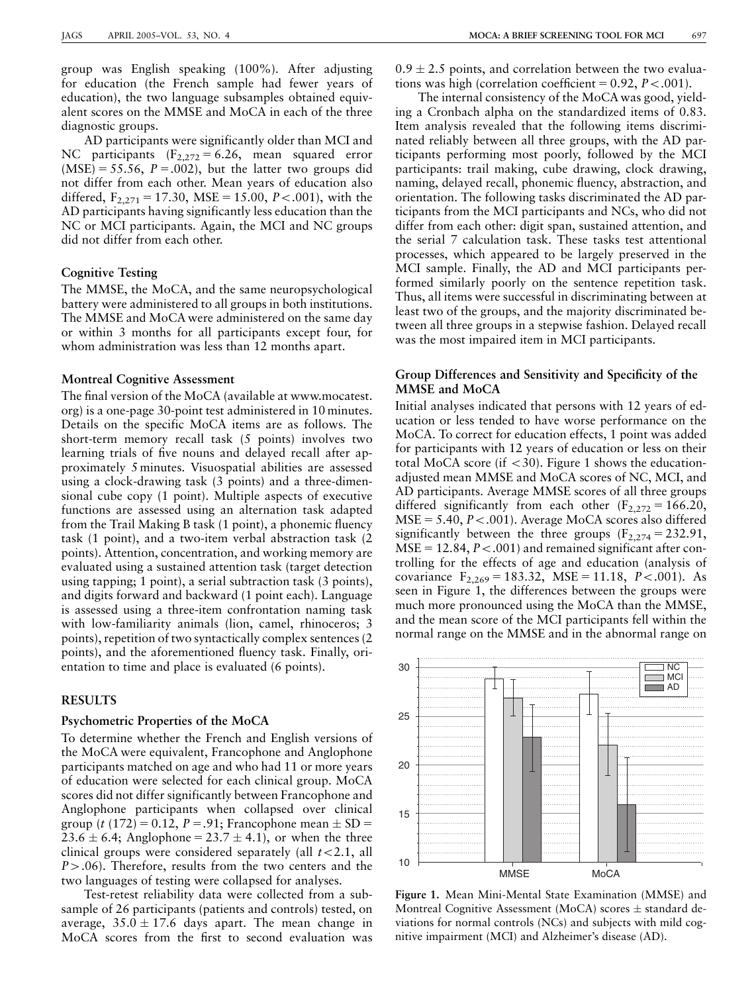group was English speaking (100%). After adjusting for education (the French sample had fewer years of education), the two language subsamples obtained equivalent scores on the MMSE and MoCA in each of the three diagnostic groups.

AD participants were significantly older than MCI and NC participants  $(F_{2,272} = 6.26)$ , mean squared error  $(MSE) = 55.56$ ,  $P = .002$ ), but the latter two groups did not differ from each other. Mean years of education also differed,  $F_{2,271} = 17.30$ , MSE = 15.00, P < .001), with the AD participants having significantly less education than the NC or MCI participants. Again, the MCI and NC groups did not differ from each other.

#### Cognitive Testing

The MMSE, the MoCA, and the same neuropsychological battery were administered to all groups in both institutions. The MMSE and MoCA were administered on the same day or within 3 months for all participants except four, for whom administration was less than 12 months apart.

#### Montreal Cognitive Assessment

The final version of the MoCA (available at www.mocatest. org) is a one-page 30-point test administered in 10 minutes. Details on the specific MoCA items are as follows. The short-term memory recall task (5 points) involves two learning trials of five nouns and delayed recall after approximately 5 minutes. Visuospatial abilities are assessed using a clock-drawing task (3 points) and a three-dimensional cube copy (1 point). Multiple aspects of executive functions are assessed using an alternation task adapted from the Trail Making B task (1 point), a phonemic fluency task (1 point), and a two-item verbal abstraction task (2 points). Attention, concentration, and working memory are evaluated using a sustained attention task (target detection using tapping; 1 point), a serial subtraction task (3 points), and digits forward and backward (1 point each). Language is assessed using a three-item confrontation naming task with low-familiarity animals (lion, camel, rhinoceros; 3 points), repetition of two syntactically complex sentences (2 points), and the aforementioned fluency task. Finally, orientation to time and place is evaluated (6 points).

### **RESULTS**

#### Psychometric Properties of the MoCA

To determine whether the French and English versions of the MoCA were equivalent, Francophone and Anglophone participants matched on age and who had 11 or more years of education were selected for each clinical group. MoCA scores did not differ significantly between Francophone and Anglophone participants when collapsed over clinical group (*t* (172) = 0.12, *P* = .91; Francophone mean  $\pm$  SD =  $23.6 \pm 6.4$ ; Anglophone =  $23.7 \pm 4.1$ ), or when the three clinical groups were considered separately (all  $t < 2.1$ , all P*4*.06). Therefore, results from the two centers and the two languages of testing were collapsed for analyses.

Test-retest reliability data were collected from a subsample of 26 participants (patients and controls) tested, on average,  $35.0 \pm 17.6$  days apart. The mean change in MoCA scores from the first to second evaluation was

The internal consistency of the MoCA was good, yielding a Cronbach alpha on the standardized items of 0.83. Item analysis revealed that the following items discriminated reliably between all three groups, with the AD participants performing most poorly, followed by the MCI participants: trail making, cube drawing, clock drawing, naming, delayed recall, phonemic fluency, abstraction, and orientation. The following tasks discriminated the AD participants from the MCI participants and NCs, who did not differ from each other: digit span, sustained attention, and the serial 7 calculation task. These tasks test attentional processes, which appeared to be largely preserved in the MCI sample. Finally, the AD and MCI participants performed similarly poorly on the sentence repetition task. Thus, all items were successful in discriminating between at least two of the groups, and the majority discriminated between all three groups in a stepwise fashion. Delayed recall was the most impaired item in MCI participants.

## Group Differences and Sensitivity and Specificity of the MMSE and MoCA

Initial analyses indicated that persons with 12 years of education or less tended to have worse performance on the MoCA. To correct for education effects, 1 point was added for participants with 12 years of education or less on their total MoCA score (if  $\langle 30 \rangle$ ). Figure 1 shows the educationadjusted mean MMSE and MoCA scores of NC, MCI, and AD participants. Average MMSE scores of all three groups differed significantly from each other  $(F_{2,272} = 166.20,$  $MSE = 5.40$ ,  $P < .001$ ). Average MoCA scores also differed significantly between the three groups  $(F_{2,274} = 232.91,$  $MSE = 12.84, P < .001$  and remained significant after controlling for the effects of age and education (analysis of covariance  $F_{2,269} = 183.32$ , MSE = 11.18, P < 001). As seen in Figure 1, the differences between the groups were much more pronounced using the MoCA than the MMSE, and the mean score of the MCI participants fell within the normal range on the MMSE and in the abnormal range on



Figure 1. Mean Mini-Mental State Examination (MMSE) and Montreal Cognitive Assessment (MoCA) scores  $\pm$  standard deviations for normal controls (NCs) and subjects with mild cognitive impairment (MCI) and Alzheimer's disease (AD).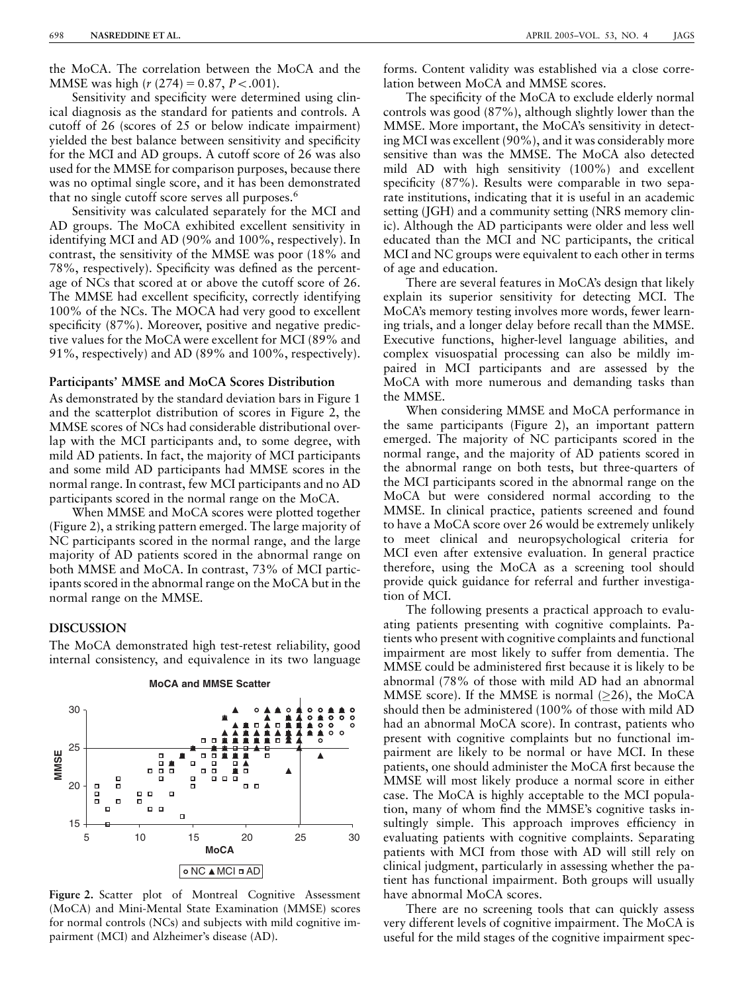the MoCA. The correlation between the MoCA and the MMSE was high  $(r (274) = 0.87, P < .001)$ .

Sensitivity and specificity were determined using clinical diagnosis as the standard for patients and controls. A cutoff of 26 (scores of 25 or below indicate impairment) yielded the best balance between sensitivity and specificity for the MCI and AD groups. A cutoff score of 26 was also used for the MMSE for comparison purposes, because there was no optimal single score, and it has been demonstrated that no single cutoff score serves all purposes.<sup>6</sup>

Sensitivity was calculated separately for the MCI and AD groups. The MoCA exhibited excellent sensitivity in identifying MCI and AD (90% and 100%, respectively). In contrast, the sensitivity of the MMSE was poor (18% and 78%, respectively). Specificity was defined as the percentage of NCs that scored at or above the cutoff score of 26. The MMSE had excellent specificity, correctly identifying 100% of the NCs. The MOCA had very good to excellent specificity (87%). Moreover, positive and negative predictive values for the MoCA were excellent for MCI (89% and 91%, respectively) and AD (89% and 100%, respectively).

#### Participants' MMSE and MoCA Scores Distribution

As demonstrated by the standard deviation bars in Figure 1 and the scatterplot distribution of scores in Figure 2, the MMSE scores of NCs had considerable distributional overlap with the MCI participants and, to some degree, with mild AD patients. In fact, the majority of MCI participants and some mild AD participants had MMSE scores in the normal range. In contrast, few MCI participants and no AD participants scored in the normal range on the MoCA.

When MMSE and MoCA scores were plotted together (Figure 2), a striking pattern emerged. The large majority of NC participants scored in the normal range, and the large majority of AD patients scored in the abnormal range on both MMSE and MoCA. In contrast, 73% of MCI participants scored in the abnormal range on the MoCA but in the normal range on the MMSE.

## DISCUSSION

The MoCA demonstrated high test-retest reliability, good internal consistency, and equivalence in its two language



Figure 2. Scatter plot of Montreal Cognitive Assessment (MoCA) and Mini-Mental State Examination (MMSE) scores for normal controls (NCs) and subjects with mild cognitive impairment (MCI) and Alzheimer's disease (AD).

forms. Content validity was established via a close correlation between MoCA and MMSE scores.

The specificity of the MoCA to exclude elderly normal controls was good (87%), although slightly lower than the MMSE. More important, the MoCA's sensitivity in detecting MCI was excellent (90%), and it was considerably more sensitive than was the MMSE. The MoCA also detected mild AD with high sensitivity (100%) and excellent specificity (87%). Results were comparable in two separate institutions, indicating that it is useful in an academic setting (IGH) and a community setting (NRS memory clinic). Although the AD participants were older and less well educated than the MCI and NC participants, the critical MCI and NC groups were equivalent to each other in terms of age and education.

There are several features in MoCA's design that likely explain its superior sensitivity for detecting MCI. The MoCA's memory testing involves more words, fewer learning trials, and a longer delay before recall than the MMSE. Executive functions, higher-level language abilities, and complex visuospatial processing can also be mildly impaired in MCI participants and are assessed by the MoCA with more numerous and demanding tasks than the MMSE.

When considering MMSE and MoCA performance in the same participants (Figure 2), an important pattern emerged. The majority of NC participants scored in the normal range, and the majority of AD patients scored in the abnormal range on both tests, but three-quarters of the MCI participants scored in the abnormal range on the MoCA but were considered normal according to the MMSE. In clinical practice, patients screened and found to have a MoCA score over 26 would be extremely unlikely to meet clinical and neuropsychological criteria for MCI even after extensive evaluation. In general practice therefore, using the MoCA as a screening tool should provide quick guidance for referral and further investigation of MCI.

The following presents a practical approach to evaluating patients presenting with cognitive complaints. Patients who present with cognitive complaints and functional impairment are most likely to suffer from dementia. The MMSE could be administered first because it is likely to be abnormal (78% of those with mild AD had an abnormal MMSE score). If the MMSE is normal  $(\geq 26)$ , the MoCA should then be administered (100% of those with mild AD had an abnormal MoCA score). In contrast, patients who present with cognitive complaints but no functional impairment are likely to be normal or have MCI. In these patients, one should administer the MoCA first because the MMSE will most likely produce a normal score in either case. The MoCA is highly acceptable to the MCI population, many of whom find the MMSE's cognitive tasks insultingly simple. This approach improves efficiency in evaluating patients with cognitive complaints. Separating patients with MCI from those with AD will still rely on clinical judgment, particularly in assessing whether the patient has functional impairment. Both groups will usually have abnormal MoCA scores.

There are no screening tools that can quickly assess very different levels of cognitive impairment. The MoCA is useful for the mild stages of the cognitive impairment spec